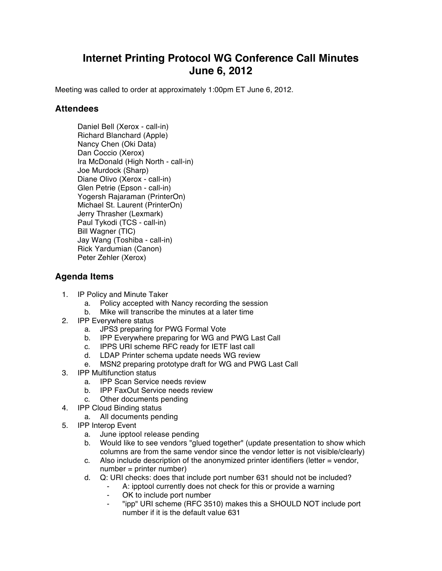## **Internet Printing Protocol WG Conference Call Minutes June 6, 2012**

Meeting was called to order at approximately 1:00pm ET June 6, 2012.

## **Attendees**

Daniel Bell (Xerox - call-in) Richard Blanchard (Apple) Nancy Chen (Oki Data) Dan Coccio (Xerox) Ira McDonald (High North - call-in) Joe Murdock (Sharp) Diane Olivo (Xerox - call-in) Glen Petrie (Epson - call-in) Yogersh Rajaraman (PrinterOn) Michael St. Laurent (PrinterOn) Jerry Thrasher (Lexmark) Paul Tykodi (TCS - call-in) Bill Wagner (TIC) Jay Wang (Toshiba - call-in) Rick Yardumian (Canon) Peter Zehler (Xerox)

## **Agenda Items**

- 1. IP Policy and Minute Taker
	- a. Policy accepted with Nancy recording the session
	- b. Mike will transcribe the minutes at a later time
- 2. IPP Everywhere status
	- a. JPS3 preparing for PWG Formal Vote
	- b. IPP Everywhere preparing for WG and PWG Last Call
	- c. IPPS URI scheme RFC ready for IETF last call
	- d. LDAP Printer schema update needs WG review
	- e. MSN2 preparing prototype draft for WG and PWG Last Call
- 3. IPP Multifunction status
	- a. IPP Scan Service needs review
	- b. IPP FaxOut Service needs review
	- c. Other documents pending
- 4. IPP Cloud Binding status
	- a. All documents pending
- 5. IPP Interop Event
	- a. June ipptool release pending
	- b. Would like to see vendors "glued together" (update presentation to show which columns are from the same vendor since the vendor letter is not visible/clearly)
	- c. Also include description of the anonymized printer identifiers (letter = vendor, number = printer number)
	- d. Q: URI checks: does that include port number 631 should not be included?
		- A: ipptool currently does not check for this or provide a warning
		- OK to include port number
		- ⁃ "ipp" URI scheme (RFC 3510) makes this a SHOULD NOT include port number if it is the default value 631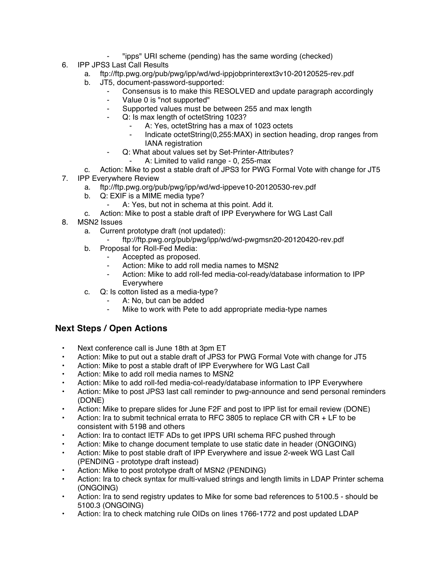- ⁃ "ipps" URI scheme (pending) has the same wording (checked)
- 6. IPP JPS3 Last Call Results
	- a. ftp://ftp.pwg.org/pub/pwg/ipp/wd/wd-ippjobprinterext3v10-20120525-rev.pdf
	- b. JT5, document-password-supported:
		- Consensus is to make this RESOLVED and update paragraph accordingly
			- Value 0 is "not supported"
			- Supported values must be between 255 and max length
			- Q: Is max length of octetString 1023?
				- A: Yes, octetString has a max of 1023 octets
				- Indicate octetString(0,255:MAX) in section heading, drop ranges from IANA registration
				- Q: What about values set by Set-Printer-Attributes?
					- A: Limited to valid range 0, 255-max
	- c. Action: Mike to post a stable draft of JPS3 for PWG Formal Vote with change for JT5
- 7. IPP Everywhere Review
	- a. ftp://ftp.pwg.org/pub/pwg/ipp/wd/wd-ippeve10-20120530-rev.pdf
	- b. Q: EXIF is a MIME media type?
		- A: Yes, but not in schema at this point. Add it.
	- c. Action: Mike to post a stable draft of IPP Everywhere for WG Last Call
- 8. MSN2 Issues
	- a. Current prototype draft (not updated):
		- ⁃ ftp://ftp.pwg.org/pub/pwg/ipp/wd/wd-pwgmsn20-20120420-rev.pdf
	- b. Proposal for Roll-Fed Media:
		- Accepted as proposed.
			- Action: Mike to add roll media names to MSN2
			- Action: Mike to add roll-fed media-col-ready/database information to IPP Everywhere
	- c. Q: Is cotton listed as a media-type?
		- A: No, but can be added
		- ⁃ Mike to work with Pete to add appropriate media-type names

## **Next Steps / Open Actions**

- Next conference call is June 18th at 3pm ET
- Action: Mike to put out a stable draft of JPS3 for PWG Formal Vote with change for JT5
- Action: Mike to post a stable draft of IPP Everywhere for WG Last Call
- Action: Mike to add roll media names to MSN2
- Action: Mike to add roll-fed media-col-ready/database information to IPP Everywhere
- Action: Mike to post JPS3 last call reminder to pwg-announce and send personal reminders (DONE)
- Action: Mike to prepare slides for June F2F and post to IPP list for email review (DONE)
- Action: Ira to submit technical errata to RFC 3805 to replace CR with  $CR + LF$  to be consistent with 5198 and others
- Action: Ira to contact IETF ADs to get IPPS URI schema RFC pushed through
- Action: Mike to change document template to use static date in header (ONGOING)
- Action: Mike to post stable draft of IPP Everywhere and issue 2-week WG Last Call (PENDING - prototype draft instead)
- Action: Mike to post prototype draft of MSN2 (PENDING)
- Action: Ira to check syntax for multi-valued strings and length limits in LDAP Printer schema (ONGOING)
- Action: Ira to send registry updates to Mike for some bad references to 5100.5 should be 5100.3 (ONGOING)
- Action: Ira to check matching rule OIDs on lines 1766-1772 and post updated LDAP